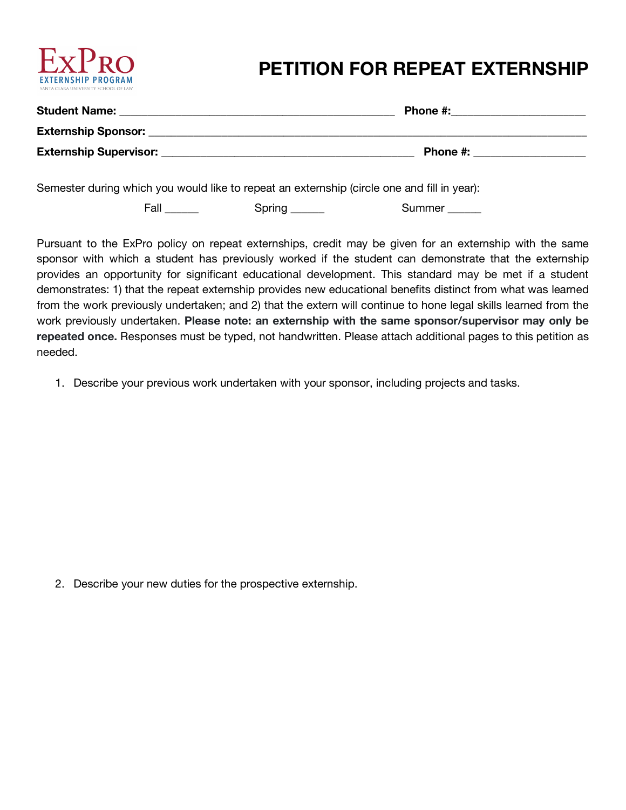

## **PETITION FOR REPEAT EXTERNSHIP**

| <b>Student Name:</b>          | Phone #: |
|-------------------------------|----------|
| <b>Externship Sponsor:</b>    |          |
| <b>Externship Supervisor:</b> | Phone #: |
|                               |          |

Semester during which you would like to repeat an externship (circle one and fill in year):

Fall Spring \_\_\_\_\_\_ Summer \_\_\_\_\_

Pursuant to the ExPro policy on repeat externships, credit may be given for an externship with the same sponsor with which a student has previously worked if the student can demonstrate that the externship provides an opportunity for significant educational development. This standard may be met if a student demonstrates: 1) that the repeat externship provides new educational benefits distinct from what was learned from the work previously undertaken; and 2) that the extern will continue to hone legal skills learned from the work previously undertaken. **Please note: an externship with the same sponsor/supervisor may only be repeated once.** Responses must be typed, not handwritten. Please attach additional pages to this petition as needed.

1. Describe your previous work undertaken with your sponsor, including projects and tasks.

2. Describe your new duties for the prospective externship.